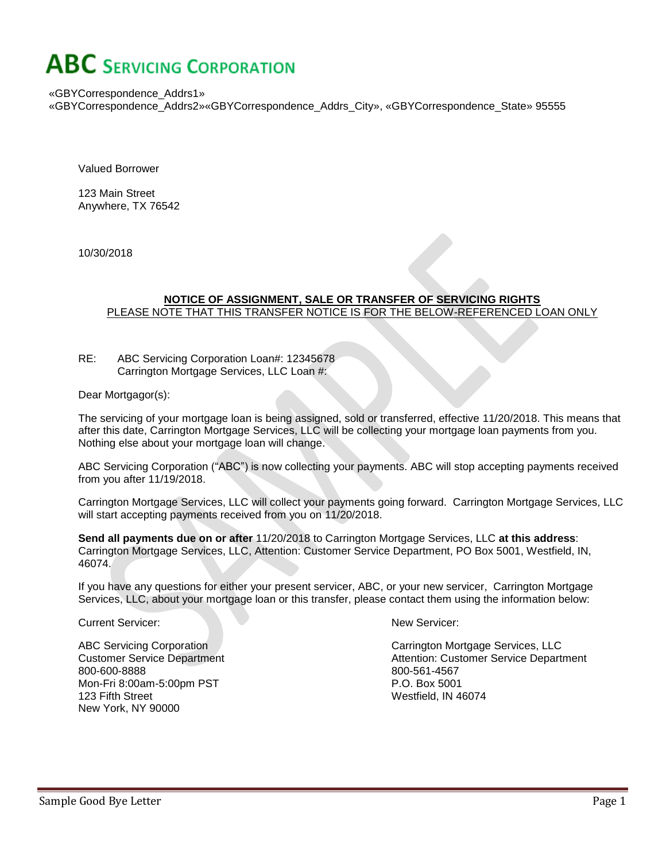«GBYCorrespondence\_Addrs1» «GBYCorrespondence\_Addrs2»«GBYCorrespondence\_Addrs\_City», «GBYCorrespondence\_State» 95555

Valued Borrower

123 Main Street Anywhere, TX 76542

10/30/2018

#### **NOTICE OF ASSIGNMENT, SALE OR TRANSFER OF SERVICING RIGHTS** PLEASE NOTE THAT THIS TRANSFER NOTICE IS FOR THE BELOW-REFERENCED LOAN ONLY

RE: ABC Servicing Corporation Loan#: 12345678 Carrington Mortgage Services, LLC Loan #:

Dear Mortgagor(s):

The servicing of your mortgage loan is being assigned, sold or transferred, effective 11/20/2018. This means that after this date, Carrington Mortgage Services, LLC will be collecting your mortgage loan payments from you. Nothing else about your mortgage loan will change.

ABC Servicing Corporation ("ABC") is now collecting your payments. ABC will stop accepting payments received from you after 11/19/2018.

Carrington Mortgage Services, LLC will collect your payments going forward. Carrington Mortgage Services, LLC will start accepting payments received from you on 11/20/2018.

**Send all payments due on or after** 11/20/2018 to Carrington Mortgage Services, LLC **at this address**: Carrington Mortgage Services, LLC, Attention: Customer Service Department, PO Box 5001, Westfield, IN, 46074.

If you have any questions for either your present servicer, ABC, or your new servicer, Carrington Mortgage Services, LLC, about your mortgage loan or this transfer, please contact them using the information below:

Current Servicer:

ABC Servicing Corporation Customer Service Department 800-600-8888 Mon-Fri 8:00am-5:00pm PST 123 Fifth Street New York, NY 90000

New Servicer:

Carrington Mortgage Services, LLC Attention: Customer Service Department 800-561-4567 P.O. Box 5001 Westfield, IN 46074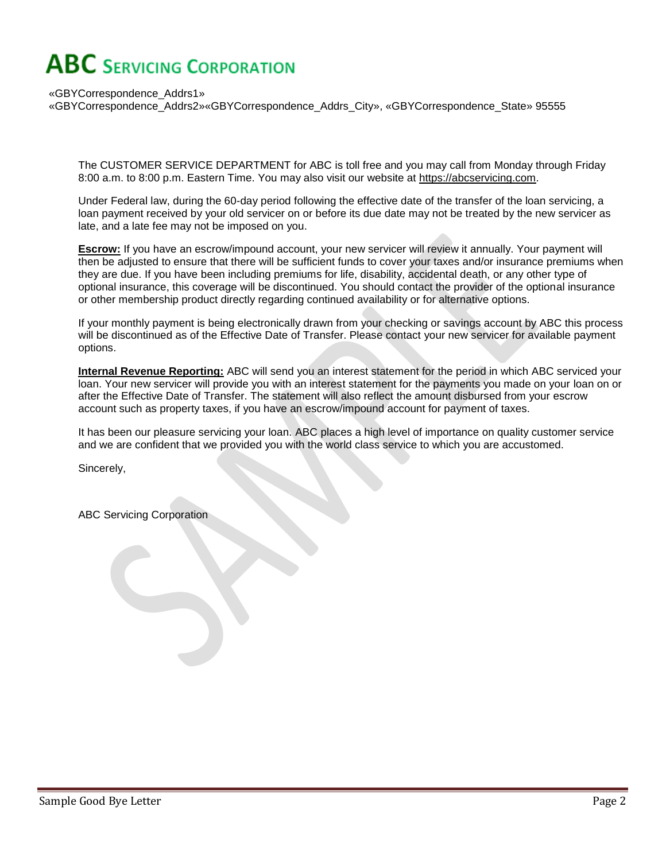«GBYCorrespondence\_Addrs1» «GBYCorrespondence\_Addrs2»«GBYCorrespondence\_Addrs\_City», «GBYCorrespondence\_State» 95555

The CUSTOMER SERVICE DEPARTMENT for ABC is toll free and you may call from Monday through Friday 8:00 a.m. to 8:00 p.m. Eastern Time. You may also visit our website at https://abcservicing.com.

Under Federal law, during the 60-day period following the effective date of the transfer of the loan servicing, a loan payment received by your old servicer on or before its due date may not be treated by the new servicer as late, and a late fee may not be imposed on you.

**Escrow:** If you have an escrow/impound account, your new servicer will review it annually. Your payment will then be adjusted to ensure that there will be sufficient funds to cover your taxes and/or insurance premiums when they are due. If you have been including premiums for life, disability, accidental death, or any other type of optional insurance, this coverage will be discontinued. You should contact the provider of the optional insurance or other membership product directly regarding continued availability or for alternative options.

If your monthly payment is being electronically drawn from your checking or savings account by ABC this process will be discontinued as of the Effective Date of Transfer. Please contact your new servicer for available payment options.

**Internal Revenue Reporting:** ABC will send you an interest statement for the period in which ABC serviced your loan. Your new servicer will provide you with an interest statement for the payments you made on your loan on or after the Effective Date of Transfer. The statement will also reflect the amount disbursed from your escrow account such as property taxes, if you have an escrow/impound account for payment of taxes.

It has been our pleasure servicing your loan. ABC places a high level of importance on quality customer service and we are confident that we provided you with the world class service to which you are accustomed.

Sincerely,

ABC Servicing Corporation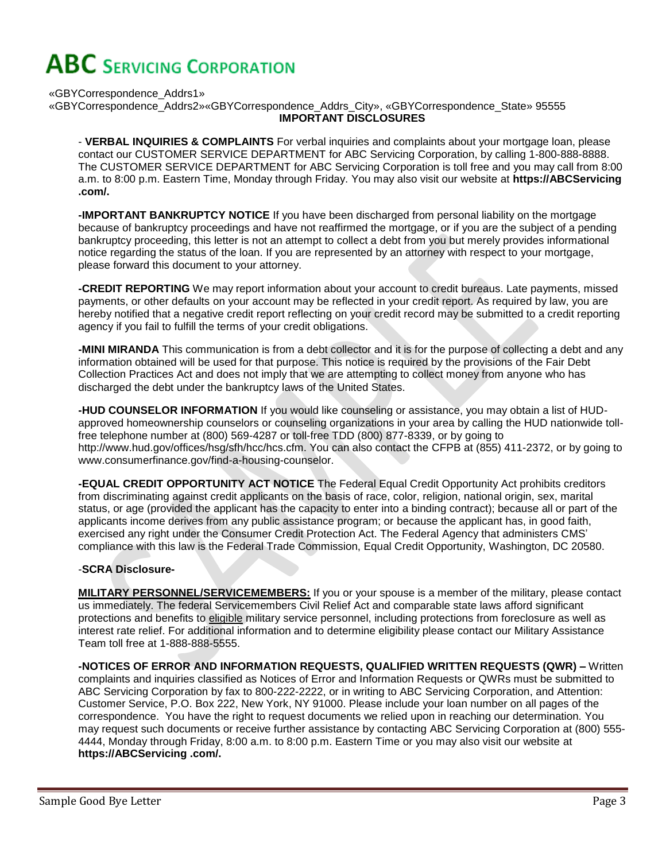«GBYCorrespondence\_Addrs1»

«GBYCorrespondence\_Addrs2»«GBYCorrespondence\_Addrs\_City», «GBYCorrespondence\_State» 95555 **IMPORTANT DISCLOSURES**

- **VERBAL INQUIRIES & COMPLAINTS** For verbal inquiries and complaints about your mortgage loan, please contact our CUSTOMER SERVICE DEPARTMENT for ABC Servicing Corporation, by calling 1-800-888-8888. The CUSTOMER SERVICE DEPARTMENT for ABC Servicing Corporation is toll free and you may call from 8:00 a.m. to 8:00 p.m. Eastern Time, Monday through Friday. You may also visit our website at **https://ABCServicing .com/.**

**-IMPORTANT BANKRUPTCY NOTICE** If you have been discharged from personal liability on the mortgage because of bankruptcy proceedings and have not reaffirmed the mortgage, or if you are the subject of a pending bankruptcy proceeding, this letter is not an attempt to collect a debt from you but merely provides informational notice regarding the status of the loan. If you are represented by an attorney with respect to your mortgage, please forward this document to your attorney.

**-CREDIT REPORTING** We may report information about your account to credit bureaus. Late payments, missed payments, or other defaults on your account may be reflected in your credit report. As required by law, you are hereby notified that a negative credit report reflecting on your credit record may be submitted to a credit reporting agency if you fail to fulfill the terms of your credit obligations.

**-MINI MIRANDA** This communication is from a debt collector and it is for the purpose of collecting a debt and any information obtained will be used for that purpose. This notice is required by the provisions of the Fair Debt Collection Practices Act and does not imply that we are attempting to collect money from anyone who has discharged the debt under the bankruptcy laws of the United States.

**-HUD COUNSELOR INFORMATION** If you would like counseling or assistance, you may obtain a list of HUDapproved homeownership counselors or counseling organizations in your area by calling the HUD nationwide tollfree telephone number at (800) 569-4287 or toll-free TDD (800) 877-8339, or by going to http://www.hud.gov/offices/hsg/sfh/hcc/hcs.cfm. You can also contact the CFPB at (855) 411-2372, or by going to www.consumerfinance.gov/find-a-housing-counselor.

**-EQUAL CREDIT OPPORTUNITY ACT NOTICE** The Federal Equal Credit Opportunity Act prohibits creditors from discriminating against credit applicants on the basis of race, color, religion, national origin, sex, marital status, or age (provided the applicant has the capacity to enter into a binding contract); because all or part of the applicants income derives from any public assistance program; or because the applicant has, in good faith, exercised any right under the Consumer Credit Protection Act. The Federal Agency that administers CMS' compliance with this law is the Federal Trade Commission, Equal Credit Opportunity, Washington, DC 20580.

#### -**SCRA Disclosure-**

**MILITARY PERSONNEL/SERVICEMEMBERS:** If you or your spouse is a member of the military, please contact us immediately. The federal Servicemembers Civil Relief Act and comparable state laws afford significant protections and benefits to eligible military service personnel, including protections from foreclosure as well as interest rate relief. For additional information and to determine eligibility please contact our Military Assistance Team toll free at 1-888-888-5555.

**-NOTICES OF ERROR AND INFORMATION REQUESTS, QUALIFIED WRITTEN REQUESTS (QWR) –** Written complaints and inquiries classified as Notices of Error and Information Requests or QWRs must be submitted to ABC Servicing Corporation by fax to 800-222-2222, or in writing to ABC Servicing Corporation, and Attention: Customer Service, P.O. Box 222, New York, NY 91000. Please include your loan number on all pages of the correspondence. You have the right to request documents we relied upon in reaching our determination. You may request such documents or receive further assistance by contacting ABC Servicing Corporation at (800) 555- 4444, Monday through Friday, 8:00 a.m. to 8:00 p.m. Eastern Time or you may also visit our website at **https://ABCServicing .com/.**